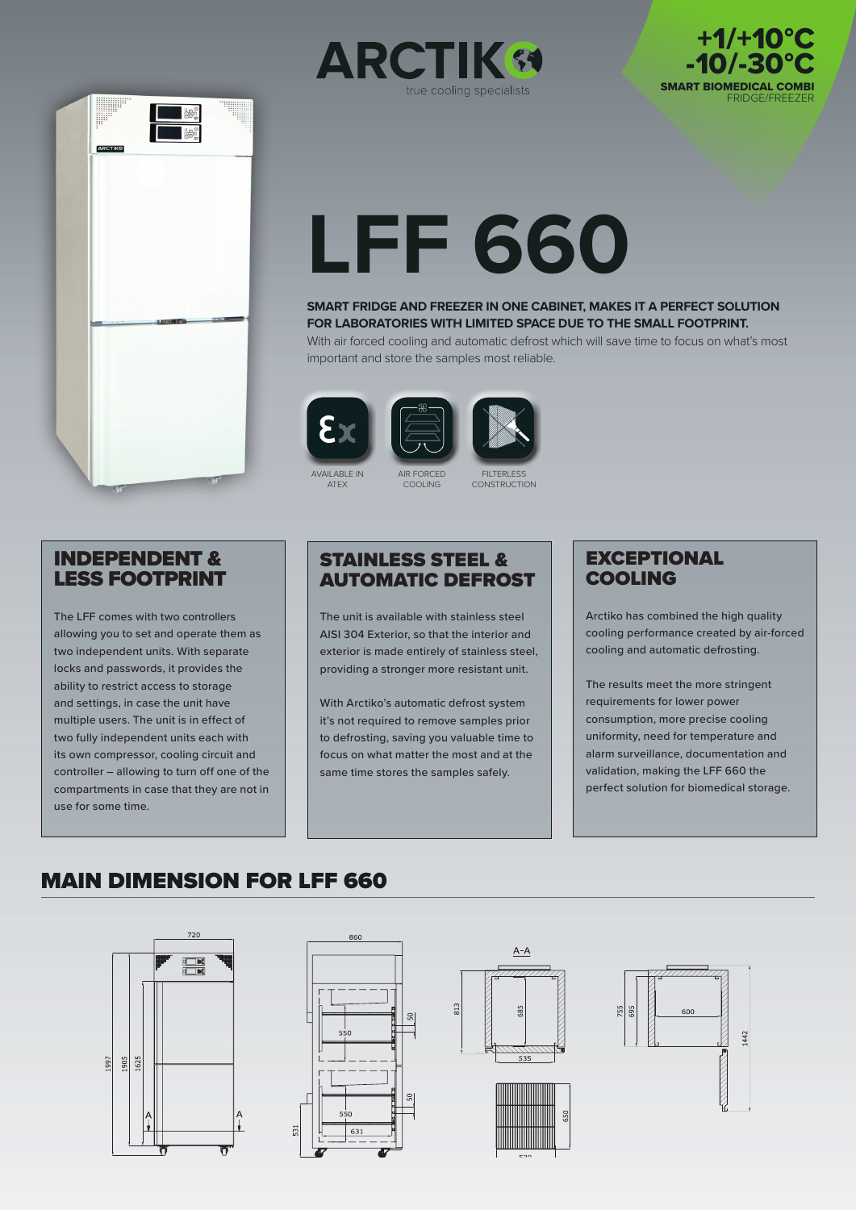



# **LFF 660**

#### **SMART FRIDGE AND FREEZER IN ONE CABINET, MAKES IT A PERFECT SOLUTION FOR LABORATORIES WITH LIMITED SPACE DUE TO THE SMALL FOOTPRINT.**

With air forced cooling and automatic defrost which will save time to focus on what's most important and store the samples most reliable.

AVAILABLE IN ATEX



**FILTERLESS CONSTRUCTION** 

#### INDEPENDENT & LESS FOOTPRINT

The LFF comes with two controllers allowing you to set and operate them as two independent units. With separate locks and passwords, it provides the ability to restrict access to storage and settings, in case the unit have multiple users. The unit is in effect of two fully independent units each with its own compressor, cooling circuit and controller – allowing to turn off one of the compartments in case that they are not in use for some time.

### STAINLESS STEEL & AUTOMATIC DEFROST

AIR FORCED COOLING

The unit is available with stainless steel AISI 304 Exterior, so that the interior and exterior is made entirely of stainless steel, providing a stronger more resistant unit.

With Arctiko's automatic defrost system it's not required to remove samples prior to defrosting, saving you valuable time to focus on what matter the most and at the same time stores the samples safely.

## **EXCEPTIONAL** COOLING

Arctiko has combined the high quality cooling performance created by air-forced cooling and automatic defrosting.

SMART BIOMEDICAL COMBI

FRIDGE/FREEZER

+1/+10°C -10/-30°C

The results meet the more stringent requirements for lower power consumption, more precise cooling uniformity, need for temperature and alarm surveillance, documentation and validation, making the LFF 660 the perfect solution for biomedical storage.

# MAIN DIMENSION FOR LFF 660